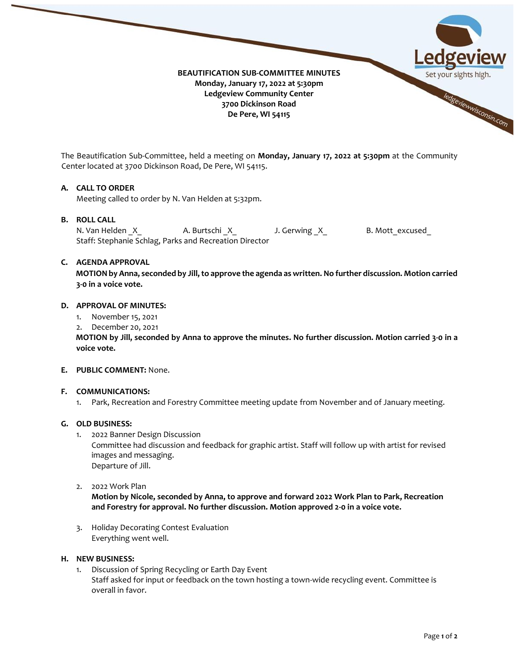

The Beautification Sub-Committee, held a meeting on **Monday, January 17, 2022 at 5:30pm** at the Community Center located at 3700 Dickinson Road, De Pere, WI 54115.

## **A. CALL TO ORDER**

Meeting called to order by N. Van Helden at 5:32pm.

## **B. ROLL CALL**

N. Van Helden X A. Burtschi X J. Gerwing X B. Mott excused Staff: Stephanie Schlag, Parks and Recreation Director

## **C. AGENDA APPROVAL**

**MOTION by Anna, seconded by Jill,to approve the agenda as written. No further discussion. Motion carried 3-0 in a voice vote.**

#### **D. APPROVAL OF MINUTES:**

- 1. November 15, 2021
- 2. December 20, 2021

**MOTION by Jill, seconded by Anna to approve the minutes. No further discussion. Motion carried 3-0 in a voice vote.**

### **E. PUBLIC COMMENT:** None.

## **F. COMMUNICATIONS:**

1. Park, Recreation and Forestry Committee meeting update from November and of January meeting.

### **G. OLD BUSINESS:**

1. 2022 Banner Design Discussion

Committee had discussion and feedback for graphic artist. Staff will follow up with artist for revised images and messaging. Departure of Jill.

2. 2022 Work Plan

**Motion by Nicole, seconded by Anna, to approve and forward 2022 Work Plan to Park, Recreation and Forestry for approval. No further discussion. Motion approved 2-0 in a voice vote.**

3. Holiday Decorating Contest Evaluation Everything went well.

### **H. NEW BUSINESS:**

1. Discussion of Spring Recycling or Earth Day Event Staff asked for input or feedback on the town hosting a town-wide recycling event. Committee is overall in favor.